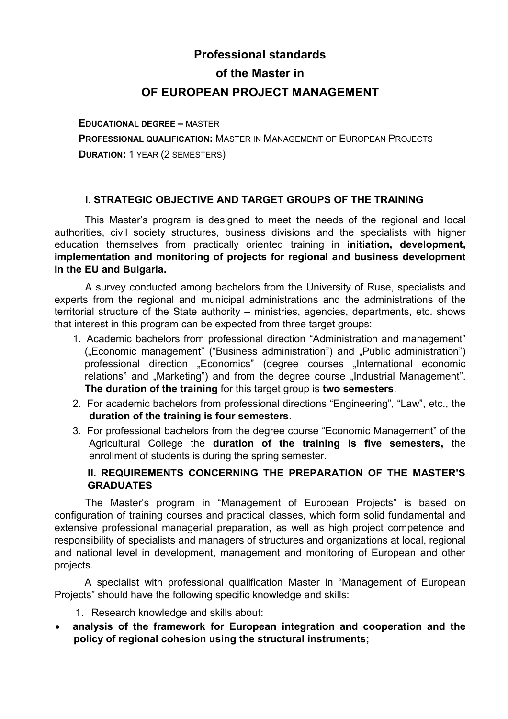# **Professional standards of the Master in OF EUROPEAN PROJECT MANAGEMENT**

**EDUCATIONAL DEGREE –** MASTER **PROFESSIONAL QUALIFICATION:** MASTER IN MANAGEMENT OF EUROPEAN PROJECTS **DURATION:** 1 YEAR (2 SEMESTERS)

## **I. STRATEGIC OBJECTIVE AND TARGET GROUPS OF THE TRAINING**

 This Master's program is designed to meet the needs of the regional and local authorities, civil society structures, business divisions and the specialists with higher education themselves from practically oriented training in **initiation, development, implementation and monitoring of projects for regional and business development in the EU and Bulgaria.**

A survey conducted among bachelors from the University of Ruse, specialists and experts from the regional and municipal administrations and the administrations of the territorial structure of the State authority – ministries, agencies, departments, etc. shows that interest in this program can be expected from three target groups:

- 1. Academic bachelors from professional direction "Administration and management" ("Economic management" ("Business administration") and "Public administration") professional direction "Economics" (degree courses "International economic relations" and "Marketing") and from the degree course "Industrial Management". **The duration of the training** for this target group is **two semesters**.
- 2. For academic bachelors from professional directions "Engineering", "Law", etc., the **duration of the training is four semesters**.
- 3. For professional bachelors from the degree course "Economic Management" of the Agricultural College the **duration of the training is five semesters,** the enrollment of students is during the spring semester.

## **II. REQUIREMENTS CONCERNING THE PREPARATION OF THE MASTER'S GRADUATES**

The Master's program in "Management of European Projects" is based on configuration of training courses and practical classes, which form solid fundamental and extensive professional managerial preparation, as well as high project competence and responsibility of specialists and managers of structures and organizations at local, regional and national level in development, management and monitoring of European and other projects.

A specialist with professional qualification Master in "Management of European Projects" should have the following specific knowledge and skills:

- 1. Research knowledge and skills about:
- **analysis of the framework for European integration and cooperation and the policy of regional cohesion using the structural instruments;**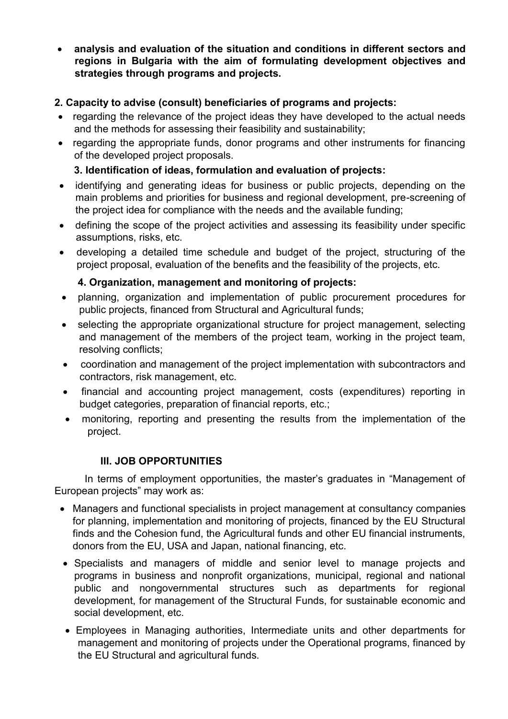**analysis and evaluation of the situation and conditions in different sectors and regions in Bulgaria with the aim of formulating development objectives and strategies through programs and projects.** 

## **2. Capacity to advise (consult) beneficiaries of programs and projects:**

- regarding the relevance of the project ideas they have developed to the actual needs and the methods for assessing their feasibility and sustainability;
- regarding the appropriate funds, donor programs and other instruments for financing of the developed project proposals.

## **3. Identification of ideas, formulation and evaluation of projects:**

- identifying and generating ideas for business or public projects, depending on the main problems and priorities for business and regional development, pre-screening of the project idea for compliance with the needs and the available funding;
- defining the scope of the project activities and assessing its feasibility under specific assumptions, risks, etc.
- developing a detailed time schedule and budget of the project, structuring of the project proposal, evaluation of the benefits and the feasibility of the projects, etc.

## **4. Organization, management and monitoring of projects:**

- planning, organization and implementation of public procurement procedures for public projects, financed from Structural and Agricultural funds;
- selecting the appropriate organizational structure for project management, selecting and management of the members of the project team, working in the project team, resolving conflicts;
- coordination and management of the project implementation with subcontractors and contractors, risk management, etc.
- financial and accounting project management, costs (expenditures) reporting in budget categories, preparation of financial reports, etc.;
- monitoring, reporting and presenting the results from the implementation of the project.

## **III. JOB OPPORTUNITIES**

In terms of employment opportunities, the master's graduates in "Management of European projects" may work as:

- Managers and functional specialists in project management at consultancy companies for planning, implementation and monitoring of projects, financed by the EU Structural finds and the Cohesion fund, the Agricultural funds and other EU financial instruments, donors from the EU, USA and Japan, national financing, etc.
- Specialists and managers of middle and senior level to manage projects and programs in business and nonprofit organizations, municipal, regional and national public and nongovernmental structures such as departments for regional development, for management of the Structural Funds, for sustainable economic and social development, etc.
- Employees in Managing authorities, Intermediate units and other departments for management and monitoring of projects under the Operational programs, financed by the EU Structural and agricultural funds.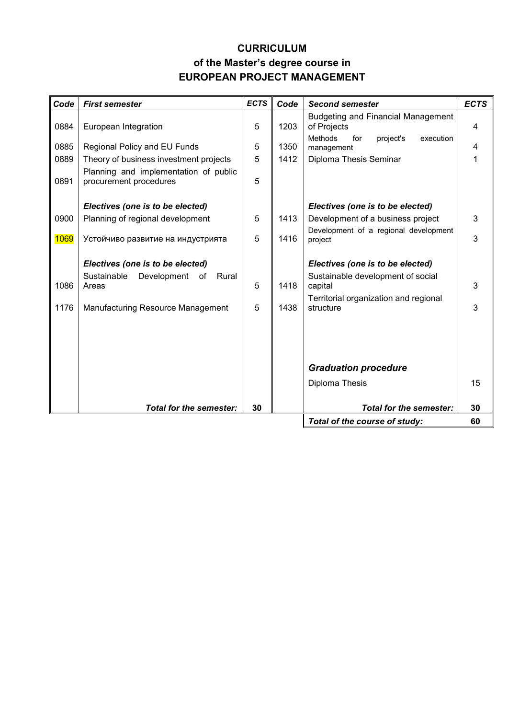## **CURRICULUM of the Master's degree course in EUROPEAN PROJECT MANAGEMENT**

| Code | <b>First semester</b>                                           | <b>ECTS</b> | Code | <b>Second semester</b>                                 | <b>ECTS</b> |
|------|-----------------------------------------------------------------|-------------|------|--------------------------------------------------------|-------------|
|      |                                                                 |             |      | <b>Budgeting and Financial Management</b>              |             |
| 0884 | European Integration                                            | 5           | 1203 | of Projects                                            | 4           |
| 0885 | Regional Policy and EU Funds                                    | 5           | 1350 | Methods<br>for<br>project's<br>execution<br>management | 4           |
| 0889 | Theory of business investment projects                          | 5           | 1412 | Diploma Thesis Seminar                                 | 1           |
| 0891 | Planning and implementation of public<br>procurement procedures | 5           |      |                                                        |             |
|      | Electives (one is to be elected)                                |             |      | Electives (one is to be elected)                       |             |
| 0900 | Planning of regional development                                | 5           | 1413 | Development of a business project                      | 3           |
| 1069 | Устойчиво развитие на индустрията                               | 5           | 1416 | Development of a regional development<br>project       | 3           |
|      |                                                                 |             |      |                                                        |             |
|      | Electives (one is to be elected)                                |             |      | Electives (one is to be elected)                       |             |
| 1086 | Sustainable<br>Development<br>Rural<br>of<br>Areas              | 5           | 1418 | Sustainable development of social<br>capital           | 3           |
|      |                                                                 |             |      | Territorial organization and regional                  |             |
| 1176 | Manufacturing Resource Management                               | 5           | 1438 | structure                                              | 3           |
|      |                                                                 |             |      |                                                        |             |
|      |                                                                 |             |      |                                                        |             |
|      |                                                                 |             |      |                                                        |             |
|      |                                                                 |             |      | <b>Graduation procedure</b>                            |             |
|      |                                                                 |             |      | Diploma Thesis                                         | 15          |
|      |                                                                 |             |      |                                                        |             |
|      | <b>Total for the semester:</b>                                  | 30          |      | Total for the semester:                                | 30          |
|      |                                                                 |             |      | Total of the course of study:                          | 60          |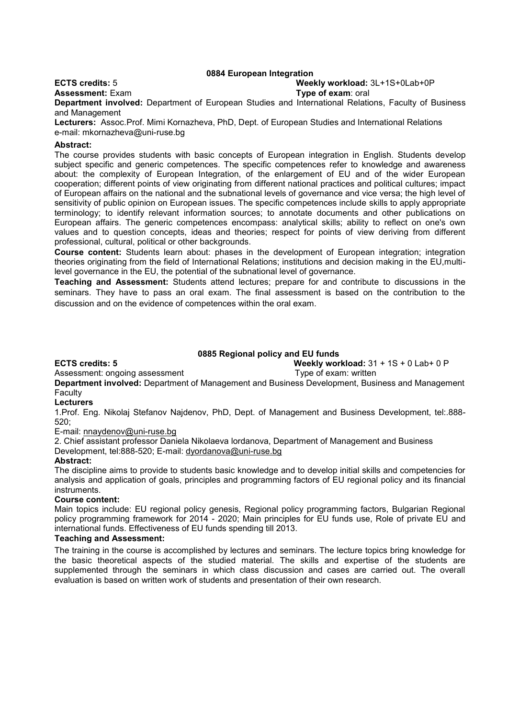#### **0884 European Integration**

#### **ECTS credits:** 5 **Weekly workload:** 3L+1S+0Lab+0P

## **Assessment:** Exam **Type of exam**: oral

**Department involved:** Department of European Studies and International Relations, Faculty of Business and Management

**Lecturers:** Assoc.Prof. Mimi Kornazheva, PhD, Dept. of European Studies and International Relations e-mail: mkornazheva@uni-ruse.bg

#### **Abstract:**

The course provides students with basic concepts of European integration in English. Students develop subject specific and generic competences. The specific competences refer to knowledge and awareness about: the complexity of European Integration, of the enlargement of EU and of the wider European cooperation; different points of view originating from different national practices and political cultures; impact of European affairs on the national and the subnational levels of governance and vice versa; the high level of sensitivity of public opinion on European issues. The specific competences include skills to apply appropriate terminology; to identify relevant information sources; to annotate documents and other publications on European affairs. The generic competences encompass: analytical skills; ability to reflect on one's own values and to question concepts, ideas and theories; respect for points of view deriving from different professional, cultural, political or other backgrounds.

**Course content:** Students learn about: phases in the development of European integration; integration theories originating from the field of International Relations; institutions and decision making in the EU,multilevel governance in the EU, the potential of the subnational level of governance.

**Teaching and Assessment:** Students attend lectures; prepare for and contribute to discussions in the seminars. They have to pass an oral exam. The final assessment is based on the contribution to the discussion and on the evidence of competences within the oral exam.

#### **0885 Regional policy and EU funds**

**ECTS credits: 5 Weekly workload:** 31 + 1S + 0 Lab+ 0 P

Assessment: ongoing assessment Type of exam: written

**Department involved:** Department of Management and Business Development, Business and Management **Faculty** 

#### **Lecturers**

1.Prof. Eng. Nikolaj Stefanov Najdenov, PhD, Dept. of Management and Business Development, tel:.888-  $520$ 

E-mail: [nnaydenov@uni-ruse.bg](mailto:nnaydenov@uni-ruse.bg)

2. Chief assistant professor Daniela Nikolaeva lordanova, Department of Management and Business

Development, tel:888-520; E-mail: [dyordanova@uni-ruse.bg](mailto:dyordanova@uni-ruse.bg)

#### **Abstract:**

The discipline aims to provide to students basic knowledge and to develop initial skills and competencies for analysis and application of goals, principles and programming factors of EU regional policy and its financial instruments.

#### **Course content:**

Main topics include: EU regional policy genesis, Regional policy programming factors, Bulgarian Regional policy programming framework for 2014 - 2020; Main principles for EU funds use, Role of private EU and international funds. Effectiveness of EU funds spending till 2013.

#### **Teaching and Assessment:**

The training in the course is accomplished by lectures and seminars. The lecture topics bring knowledge for the basic theoretical aspects of the studied material. The skills and expertise of the students are supplemented through the seminars in which class discussion and cases are carried out. The overall evaluation is based on written work of students and presentation of their own research.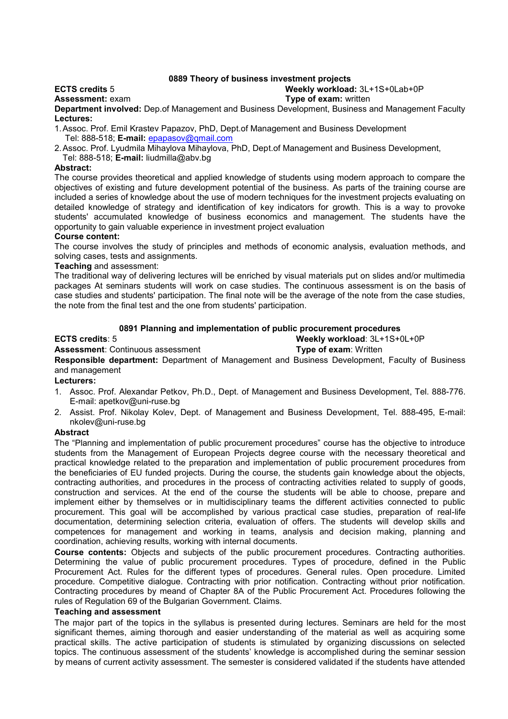### **0889 Theory of business investment projects**

## **ECTS credits** 5 **Weekly workload:** 3L+1S+0Lab+0P

## **Assessment:** exam **Type of exam:** written

**Department involved:** Dep.of Management and Business Development, Business and Management Faculty **Lectures:**

1.Assoc. Prof. Emil Krastev Papazov, PhD, Dept.of Management and Business Development Tel: 888-518; **E-mail:** [epapasov@qmail.com](mailto:epapasov@qmail.com)

2.Assoc. Prof. Lyudmila Mihaylova Mihaylova, PhD, Dept.of Management and Business Development, Tel: 888-518; **E-mail:** [liudmilla@abv.bg](mailto:liudmilla@abv.bq)

#### **Abstract:**

The course provides theoretical and applied knowledge of students using modern approach to compare the objectives of existing and future development potential of the business. As parts of the training course are included a series of knowledge about the use of modern techniques for the investment projects evaluating on detailed knowledge of strategy and identification of key indicators for growth. This is a way to provoke students' accumulated knowledge of business economics and management. The students have the opportunity to gain valuable experience in investment project evaluation

#### **Course content:**

The course involves the study of principles and methods of economic analysis, evaluation methods, and solving cases, tests and assignments.

#### **Teaching** and assessment:

The traditional way of delivering lectures will be enriched by visual materials put on slides and/or multimedia packages At seminars students will work on case studies. The continuous assessment is on the basis of case studies and students' participation. The final note will be the average of the note from the case studies, the note from the final test and the one from students' participation.

#### **0891 Planning and implementation of public procurement procedures**

#### **ECTS credits**: 5 **Weekly workload**: 3L+1S+0L+0P

## **Assessment**: Continuous assessment **Type of exam**: Written

**Responsible department:** Department of Management and Business Development, Faculty of Business and management

#### **Lecturers:**

- 1. Assoc. Prof. Alexandar Petkov, Ph.D., Dept. of Management and Business Development, Tel. 888-776. E-mail: apetkov@uni-ruse.bg
- 2. Assist. Prof. Nikolay Kolev, Dept. of Management and Business Development, Tel. 888-495, E-mail: nkolev@uni-ruse.bg

#### **Abstract**

The "Planning and implementation of public procurement procedures" course has the objective to introduce students from the Management of European Projects degree course with the necessary theoretical and practical knowledge related to the preparation and implementation of public procurement procedures from the beneficiaries of EU funded projects. During the course, the students gain knowledge about the objects, contracting authorities, and procedures in the process of contracting activities related to supply of goods, construction and services. At the end of the course the students will be able to choose, prepare and implement either by themselves or in multidisciplinary teams the different activities connected to public procurement. This goal will be accomplished by various practical case studies, preparation of real-life documentation, determining selection criteria, evaluation of offers. The students will develop skills and competences for management and working in teams, analysis and decision making, planning and coordination, achieving results, working with internal documents.

**Course contents:** Objects and subjects of the public procurement procedures. Contracting authorities. Determining the value of public procurement procedures. Types of procedure, defined in the Public Procurement Act. Rules for the different types of procedures. General rules. Open procedure. Limited procedure. Competitive dialogue. Contracting with prior notification. Contracting without prior notification. Contracting procedures by meand of Chapter 8A of the Public Procurement Act. Procedures following the rules of Regulation 69 of the Bulgarian Government. Claims.

#### **Teaching and assessment**

The major part of the topics in the syllabus is presented during lectures. Seminars are held for the most significant themes, aiming thorough and easier understanding of the material as well as acquiring some practical skills. The active participation of students is stimulated by organizing discussions on selected topics. The continuous assessment of the students' knowledge is accomplished during the seminar session by means of current activity assessment. The semester is considered validated if the students have attended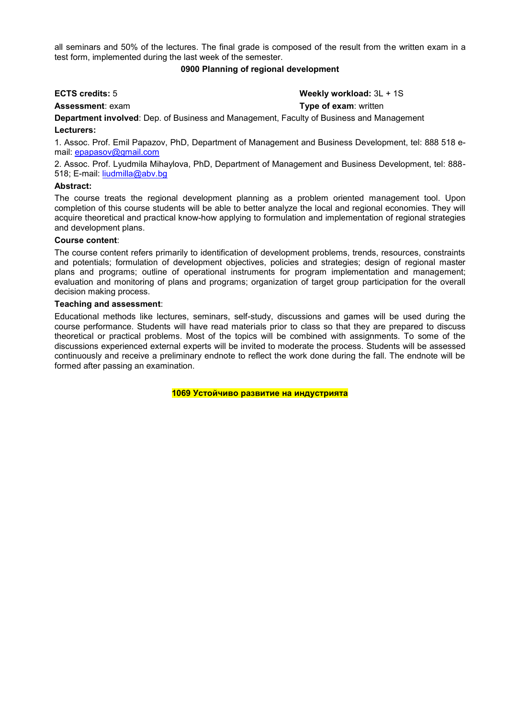all seminars and 50% of the lectures. The final grade is composed of the result from the written exam in a test form, implemented during the last week of the semester.

#### **0900 Planning of regional development**

## **ЕСТS credits:** 5 **Weekly workload:** 3L + 1S

**Assessment**: exam **Type of exam**: written

**Department involved**: Dep. of Business and Management, Faculty of Business and Management **Lecturers:**

1. Assoc. Prof. Emil Papazov, PhD, Department of Management and Business Development, tel: 888 518 email: [epapasov@gmail.com](mailto:epapasov@gmail.com)

2. Assoc. Prof. Lyudmila Mihaylova, PhD, Department of Management and Business Development, tel: 888- 518; E-mail: [liudmilla@abv.bg](mailto:liudmilla@abv.bg)

#### **Abstract:**

The course treats the regional development planning as a problem oriented management tool. Upon completion of this course students will be able to better analyze the local and regional economies. They will acquire theoretical and practical know-how applying to formulation and implementation of regional strategies and development plans.

#### **Course content**:

The course content refers primarily to identification of development problems, trends, resources, constraints and potentials; formulation of development objectives, policies and strategies; design of regional master plans and programs; outline of operational instruments for program implementation and management; evaluation and monitoring of plans and programs; organization of target group participation for the overall decision making process.

#### **Teaching and assessment**:

Educational methods like lectures, seminars, self-study, discussions and games will be used during the course performance. Students will have read materials prior to class so that they are prepared to discuss theoretical or practical problems. Most of the topics will be combined with assignments. To some of the discussions experienced external experts will be invited to moderate the process. Students will be assessed continuously and receive a preliminary endnote to reflect the work done during the fall. The endnote will be formed after passing an examination.

**1069 Устойчиво развитие на индустрията**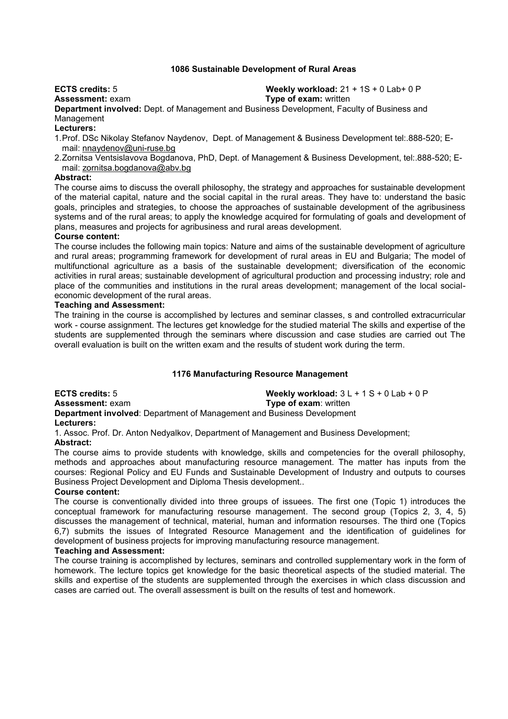#### **1086 Sustainable Development of Rural Areas**

**ECTS credits:** 5 **Weekly workload:** 21 + 1S + 0 Lab+ 0 P

**Assessment:** exam **Type of exam:** written

**Department involved:** Dept. of Management and Business Development, Faculty of Business and Management

#### **Lecturers:**

1.Prof. DSc Nikolay Stefanov Naydenov, Dept. of Management & Business Development tel:.888-520; Email: [nnaydenov@uni-ruse.bg](mailto:nnaydenov@uni-ruse.bg)

2.Zornitsa Ventsislavova Bogdanova, PhD, Dept. of Management & Business Development, tel:.888-520; Email: [zornitsa.bogdanova@abv.bg](mailto:zornitsa.bogdanova@abv.bg)

#### **Abstract:**

The course aims to discuss the overall philosophy, the strategy and approaches for sustainable development of the material capital, nature and the social capital in the rural areas. They have to: understand the basic goals, principles and strategies, to choose the approaches of sustainable development of the agribusiness systems and of the rural areas; to apply the knowledge acquired for formulating of goals and development of plans, measures and projects for agribusiness and rural areas development.

#### **Course content:**

The course includes the following main topics: Nature and aims of the sustainable development of agriculture and rural areas; programming framework for development of rural areas in EU and Bulgaria; The model of multifunctional agriculture as a basis of the sustainable development; diversification of the economic activities in rural areas; sustainable development of agricultural production and processing industry; role and place of the communities and institutions in the rural areas development; management of the local socialeconomic development of the rural areas.

#### **Teaching and Assessment:**

The training in the course is accomplished by lectures and seminar classes, s and controlled extracurricular work - course assignment. The lectures get knowledge for the studied material The skills and expertise of the students are supplemented through the seminars where discussion and case studies are carried out The overall evaluation is built on the written exam and the results of student work during the term.

### **1176 Manufacturing Resource Management**

**ECTS credits:** 5 **Weekly workload:** 3 L + 1 S + 0 Lab + 0 P

**Assessment:** exam **Type of exam**: written **Department involved**: Department of Management and Business Development **Lecturers:**

1. Assoc. Prof. Dr. Anton Nedyalkov, Depаrtment of Management and Business Development; **Abstract:**

The course aims to provide students with knowledge, skills and competencies for the overall philosophy, methods and approaches about manufacturing resource management. The matter has inputs from the courses: Regional Policy and EU Funds and Sustainable Development of Industry and outputs to courses Business Project Development and Diploma Thesis development..

#### **Course content:**

The course is conventionally divided into three groups of issuees. The first one (Topic 1) introduces the conceptual framework for manufacturing resourse management. The second group (Topics 2, 3, 4, 5) discusses the management of technical, material, human and information resourses. The third one (Topics 6,7) submits the issues of Integrated Resource Management and the identification of guidelines for development of business projects for improving manufacturing resource management.

#### **Teaching and Assessment:**

The course training is accomplished by lectures, seminars and controlled supplementary work in the form of homework. The lecture topics get knowledge for the basic theoretical aspects of the studied material. The skills and expertise of the students are supplemented through the exercises in which class discussion and cases are carried out. The overall assessment is built on the results of test and homework.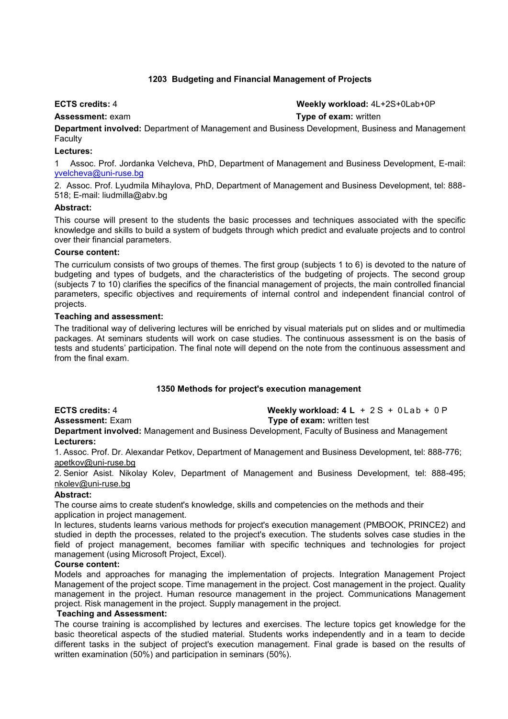### **1203 Budgeting and Financial Management of Projects**

## **ECTS credits:** 4 **Weekly workload:** 4L+2S+0Lab+0P

**Assessment:** exam **Type of exam:** written

**Department involved:** Department of Management and Business Development, Business and Management Faculty

#### **Lectures:**

1 Assoc. Prof. Jordanka Velcheva, PhD, Department of Management and Business Development, E-mail: [yvelcheva@uni-ruse.bg](mailto:yvelcheva@uni-ruse.bg)

2. Assoc. Prof. Lyudmila Mihaylova, PhD, Department of Management and Business Development, tel: 888- 518; E-mail: liudmilla@abv.bg

#### **Abstract:**

This course will present to the students the basic processes and techniques associated with the specific knowledge and skills to build a system of budgets through which predict and evaluate projects and to control over their financial parameters.

#### **Course content:**

The curriculum consists of two groups of themes. The first group (subjects 1 to 6) is devoted to the nature of budgeting and types of budgets, and the characteristics of the budgeting of projects. The second group (subjects 7 to 10) clarifies the specifics of the financial management of projects, the main controlled financial parameters, specific objectives and requirements of internal control and independent financial control of projects.

#### **Teaching and assessment:**

The traditional way of delivering lectures will be enriched by visual materials put on slides and or multimedia packages. At seminars students will work on case studies. The continuous assessment is on the basis of tests and students' participation. The final note will depend on the note from the continuous assessment and from the final exam.

### **1350 Methods for project's execution management**

**ECTS credits:** 4 **Weekly workload: 4 L** + 2 S + 0Lab + 0 P **Assessment:** Exam **Type of exam:** written test **Department involved:** Management and Business Development, Faculty of Business and Management **Lecturers:**

1. Assoc. Prof. Dr. Alexandar Petkov, Department of Management and Business Development, tel: 888-776; [apetkov@uni-ruse.bg](mailto:apetkov@uni-ruse.bg)

2. Senior Asist. Nikolay Kolev, Department of Management and Business Development, tel: 888-495; [nkolev@uni-ruse.bg](mailto:nkolev@uni-ruse.bg)

### **Abstract:**

The course aims to create student's knowledge, skills and competencies on the methods and their application in project management.

In lectures, students learns various methods for project's execution management (PMBOOK, PRINCE2) and studied in depth the processes, related to the project's execution. The students solves case studies in the field of project management, becomes familiar with specific techniques and technologies for project management (using Microsoft Project, Excel).

### **Course content:**

Models and approaches for managing the implementation of projects. Integration Management Project Management of the project scope. Time management in the project. Cost management in the project. Quality management in the project. Human resource management in the project. Communications Management project. Risk management in the project. Supply management in the project.

#### **Teaching and Assessment:**

The course training is accomplished by lectures and exercises. The lecture topics get knowledge for the basic theoretical aspects of the studied material. Students works independently and in a team to decide different tasks in the subject of project's execution management. Final grade is based on the results of written examination (50%) and participation in seminars (50%).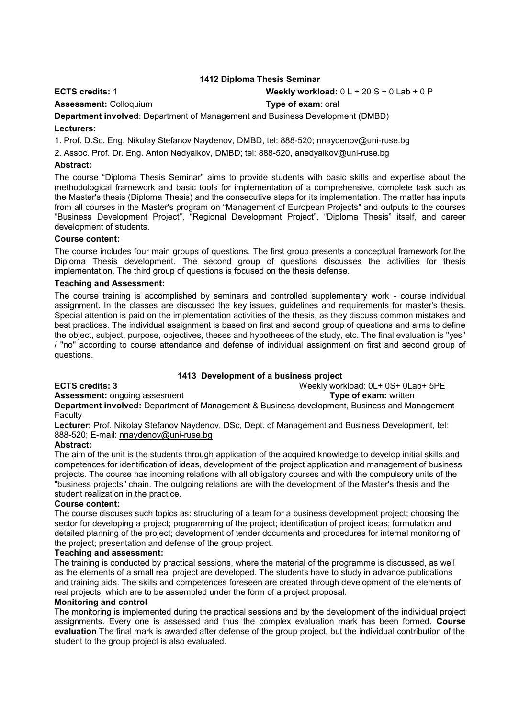### **1412 Diploma Thesis Seminar**

**ECTS credits:** 1 **Weekly workload:** 0 L + 20 S + 0 Lab + 0 P

**Assessment:** Colloquium **Type of exam**: oral

**Department involved**: Department of Management and Business Development (DMBD)

#### **Lecturers:**

1. Prof. D.Sc. Eng. Nikolay Stefanov Naydenov, DMBD, tel: 888-520; nnaydenov@uni-ruse.bg

2. Assoc. Prof. Dr. Eng. Anton Nedyalkov, DMBD; tel: 888-520, anedyalkov@uni-ruse.bg

#### **Abstract:**

The course "Diploma Thesis Seminar" aims to provide students with basic skills and expertise about the methodological framework and basic tools for implementation of a comprehensive, complete task such as the Master's thesis (Diploma Thesis) and the consecutive steps for its implementation. The matter has inputs from all courses in the Master's program on "Management of European Projects" and outputs to the courses "Business Development Project", "Regional Development Project", "Diploma Thesis" itself, and career development of students.

#### **Course content:**

The course includes four main groups of questions. The first group presents a conceptual framework for the Diploma Thesis development. The second group of questions discusses the activities for thesis implementation. The third group of questions is focused on the thesis defense.

### **Teaching and Assessment:**

The course training is accomplished by seminars and controlled supplementary work - course individual assignment. In the classes are discussed the key issues, guidelines and requirements for master's thesis. Special attention is paid on the implementation activities of the thesis, as they discuss common mistakes and best practices. The individual assignment is based on first and second group of questions and aims to define the object, subject, purpose, objectives, theses and hypotheses of the study, etc. The final evaluation is "yes" / "no" according to course attendance and defense of individual assignment on first and second group of questions.

### **1413 Development of a business project**

#### **ECTS credits: 3** Weekly workload: 0L+ 0S+ 0Lab+ 5PE

**Assessment:** ongoing assesment **Type of exam:** written

**Department involved:** Department of Management & Business development, Business and Management **Faculty** 

**Lecturer:** Prof. Nikolay Stefanov Naydenov, DSc, Dept. of Management and Business Development, tel: 888-520; E-mail: [nnaydenov@uni-ruse.bg](mailto:nnaydenov@uni-ruse.bg)

### **Abstract:**

The aim of the unit is the students through application of the acquired knowledge to develop initial skills and competences for identification of ideas, development of the project application and management of business projects. The course has incoming relations with all obligatory courses and with the compulsory units of the "business projects" chain. The outgoing relations are with the development of the Master's thesis and the student realization in the practice.

#### **Course content:**

The course discuses such topics as: structuring of a team for a business development project; choosing the sector for developing a project; programming of the project; identification of project ideas; formulation and detailed planning of the project; development of tender documents and procedures for internal monitoring of the project; presentation and defense of the group project.

#### **Teaching and assessment:**

The training is conducted by practical sessions, where the material of the programme is discussed, as well as the elements of a small real project are developed. The students have to study in advance publications and training aids. The skills and competences foreseen are created through development of the elements of real projects, which are to be assembled under the form of a project proposal.

#### **Monitoring and control**

The monitoring is implemented during the practical sessions and by the development of the individual project assignments. Every one is assessed and thus the complex evaluation mark has been formed. **Course evaluation** The final mark is awarded after defense of the group project, but the individual contribution of the student to the group project is also evaluated.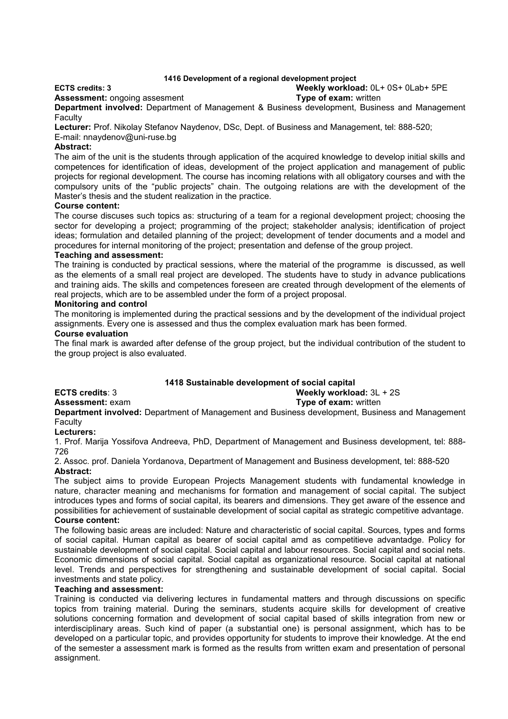### **1416 Development of a regional development project**

#### **ECTS credits: 3 Weekly workload:** 0L+ 0S+ 0Lab+ 5PE

**Assessment:** ongoing assesment **Type of exam:** written

**Department involved:** Department of Management & Business development, Business and Management **Faculty** 

**Lecturer:** Prof. Nikolay Stefanov Naydenov, DSc, Dept. of Business and Management, tel: 888-520;

## E-mail: nnaydenov@uni-ruse.bg

#### **Abstract:**

The aim of the unit is the students through application of the acquired knowledge to develop initial skills and competences for identification of ideas, development of the project application and management of public projects for regional development. The course has incoming relations with all obligatory courses and with the compulsory units of the "public projects" chain. The outgoing relations are with the development of the Master's thesis and the student realization in the practice.

#### **Course content:**

The course discuses such topics as: structuring of a team for a regional development project; choosing the sector for developing a project; programming of the project; stakeholder analysis; identification of project ideas; formulation and detailed planning of the project; development of tender documents and a model and procedures for internal monitoring of the project; presentation and defense of the group project.

#### **Teaching and assessment:**

The training is conducted by practical sessions, where the material of the programme is discussed, as well as the elements of a small real project are developed. The students have to study in advance publications and training aids. The skills and competences foreseen are created through development of the elements of real projects, which are to be assembled under the form of a project proposal.

#### **Monitoring and control**

The monitoring is implemented during the practical sessions and by the development of the individual project assignments. Every one is assessed and thus the complex evaluation mark has been formed.

#### **Course evaluation**

The final mark is awarded after defense of the group project, but the individual contribution of the student to the group project is also evaluated.

### **1418 Sustainable development of social capital**

**ECTS credits**: 3 **Weekly workload:** 3L + 2S

**Assessment:** exam **Type of exam:** written

**Department involved:** Department of Management and Business development, Business and Management Faculty

#### **Lecturers:**

1. Prof. Marija Yossifova Andreeva, PhD, Department of Management and Business development, tel: 888- 726

2. Assoc. prof. Daniela Yordanova, Department of Management and Business development, tel: 888-520 **Abstract:**

The subject aims to provide European Projects Management students with fundamental knowledge in nature, character meaning and mechanisms for formation and management of social capital. The subject introduces types and forms of social capital, its bearers and dimensions. They get aware of the essence and possibilities for achievement of sustainable development of social capital as strategic competitive advantage.

#### **Course content:**

The following basic areas are included: Nature and characteristic of social capital. Sources, types and forms of social capital. Human capital as bearer of social capital amd as competitieve advantadge. Policy for sustainable development of social capital. Social capital and labour resources. Social capital and social nets. Economic dimensions of social capital. Social capital as organizational resource. Social capital at national level. Trends and perspectives for strengthening and sustainable development of social capital. Social investments and state policy.

#### **Teaching and assessment:**

Training is conducted via delivering lectures in fundamental matters and through discussions on specific topics from training material. During the seminars, students acquire skills for development of creative solutions concerning formation and development of social capital based of skills integration from new or interdisciplinary areas. Such kind of paper (a substantial one) is personal assignment, which has to be developed on a particular topic, and provides opportunity for students to improve their knowledge. At the end of the semester a assessment mark is formed as the results from written exam and presentation of personal assignment.